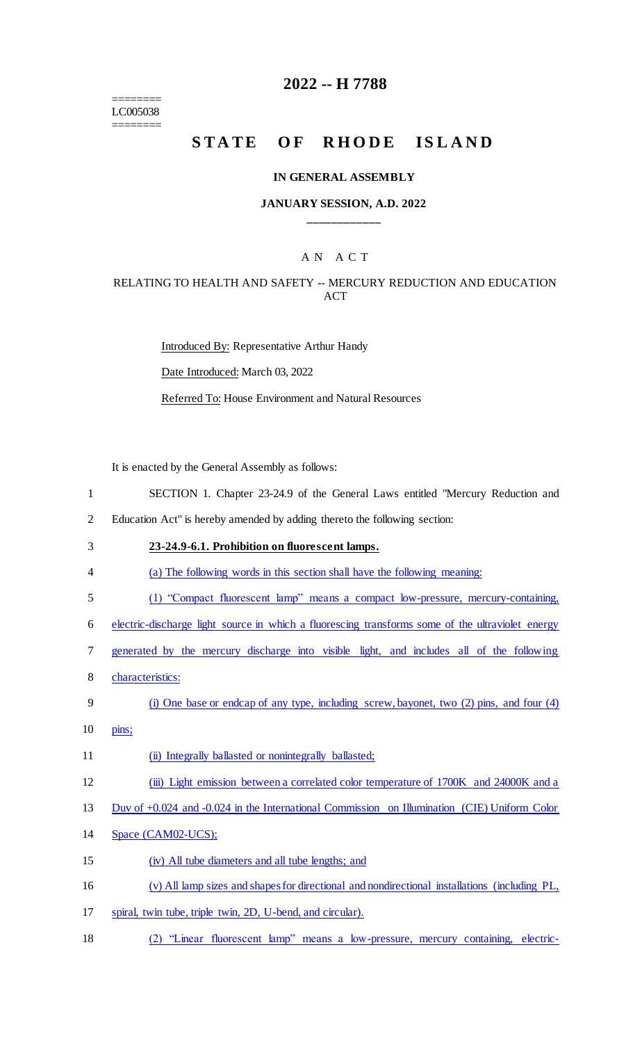======== LC005038 ========

## **2022 -- H 7788**

# STATE OF RHODE ISLAND

#### **IN GENERAL ASSEMBLY**

#### **JANUARY SESSION, A.D. 2022 \_\_\_\_\_\_\_\_\_\_\_\_**

## A N A C T

#### RELATING TO HEALTH AND SAFETY -- MERCURY REDUCTION AND EDUCATION **ACT**

Introduced By: Representative Arthur Handy Date Introduced: March 03, 2022 Referred To: House Environment and Natural Resources

It is enacted by the General Assembly as follows:

1 SECTION 1. Chapter 23-24.9 of the General Laws entitled "Mercury Reduction and

2 Education Act" is hereby amended by adding thereto the following section:

- 3 **23-24.9-6.1. Prohibition on fluorescent lamps.**
- 4 (a) The following words in this section shall have the following meaning:
- 5 (1) "Compact fluorescent lamp" means a compact low-pressure, mercury-containing,

6 electric-discharge light source in which a fluorescing transforms some of the ultraviolet energy

- 7 generated by the mercury discharge into visible light, and includes all of the following
- 8 characteristics:
- 9 (i) One base or endcap of any type, including screw, bayonet, two (2) pins, and four (4)
- 10 pins;

11 (ii) Integrally ballasted or nonintegrally ballasted;

12 (iii) Light emission between a correlated color temperature of 1700K and 24000K and a

13 Duv of +0.024 and -0.024 in the International Commission on Illumination (CIE) Uniform Color

- 14 Space (CAM02-UCS);
- 15 (iv) All tube diameters and all tube lengths; and
- 16 (v) All lamp sizes and shapes for directional and nondirectional installations (including PL,
- 17 spiral, twin tube, triple twin, 2D, U-bend, and circular).
- 18 (2) "Linear fluorescent lamp" means a low-pressure, mercury containing, electric-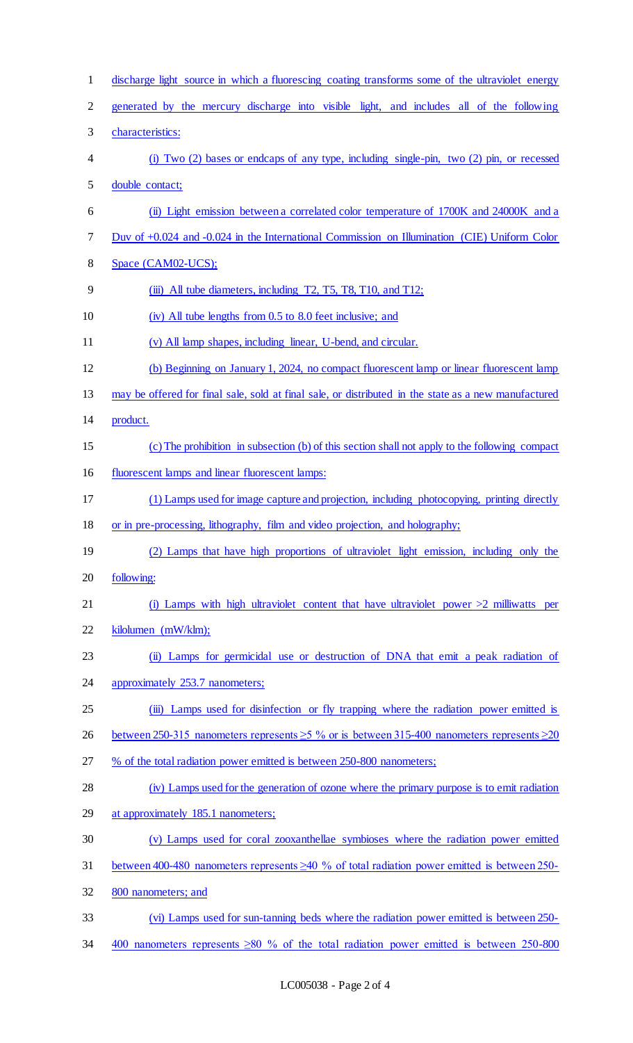| $\mathbf{1}$   | discharge light source in which a fluorescing coating transforms some of the ultraviolet energy        |
|----------------|--------------------------------------------------------------------------------------------------------|
| $\overline{2}$ | generated by the mercury discharge into visible light, and includes all of the following               |
| 3              | characteristics:                                                                                       |
| $\overline{4}$ | (i) Two $(2)$ bases or endcaps of any type, including single-pin, two $(2)$ pin, or recessed           |
| 5              | double contact;                                                                                        |
| 6              | (ii) Light emission between a correlated color temperature of 1700K and 24000K and a                   |
| $\tau$         | Duv of +0.024 and -0.024 in the International Commission on Illumination (CIE) Uniform Color           |
| $8\,$          | Space (CAM02-UCS);                                                                                     |
| 9              | (iii) All tube diameters, including T2, T5, T8, T10, and T12;                                          |
| 10             | (iv) All tube lengths from 0.5 to 8.0 feet inclusive; and                                              |
| 11             | (v) All lamp shapes, including linear, U-bend, and circular.                                           |
| 12             | (b) Beginning on January 1, 2024, no compact fluorescent lamp or linear fluorescent lamp               |
| 13             | may be offered for final sale, sold at final sale, or distributed in the state as a new manufactured   |
| 14             | product.                                                                                               |
| 15             | (c) The prohibition in subsection (b) of this section shall not apply to the following compact         |
| 16             | fluorescent lamps and linear fluorescent lamps:                                                        |
| 17             | (1) Lamps used for image capture and projection, including photocopying, printing directly             |
| 18             | or in pre-processing, lithography, film and video projection, and holography;                          |
| 19             | (2) Lamps that have high proportions of ultraviolet light emission, including only the                 |
| 20             | following:                                                                                             |
| 21             | (i) Lamps with high ultraviolet content that have ultraviolet power $>2$ milliwatts per                |
| 22             | kilolumen (mW/klm);                                                                                    |
| 23             | (ii) Lamps for germicidal use or destruction of DNA that emit a peak radiation of                      |
| 24             | approximately 253.7 nanometers;                                                                        |
| 25             | (iii) Lamps used for disinfection or fly trapping where the radiation power emitted is                 |
| 26             | between 250-315 nanometers represents $\geq$ 5 % or is between 315-400 nanometers represents $\geq$ 20 |
| 27             | % of the total radiation power emitted is between 250-800 nanometers;                                  |
| 28             | (iv) Lamps used for the generation of ozone where the primary purpose is to emit radiation             |
| 29             | at approximately 185.1 nanometers;                                                                     |
| 30             | (v) Lamps used for coral zooxanthellae symbioses where the radiation power emitted                     |
| 31             | between 400-480 nanometers represents $\geq 40$ % of total radiation power emitted is between 250-     |
| 32             | 800 nanometers; and                                                                                    |
| 33             |                                                                                                        |
|                | (vi) Lamps used for sun-tanning beds where the radiation power emitted is between 250-                 |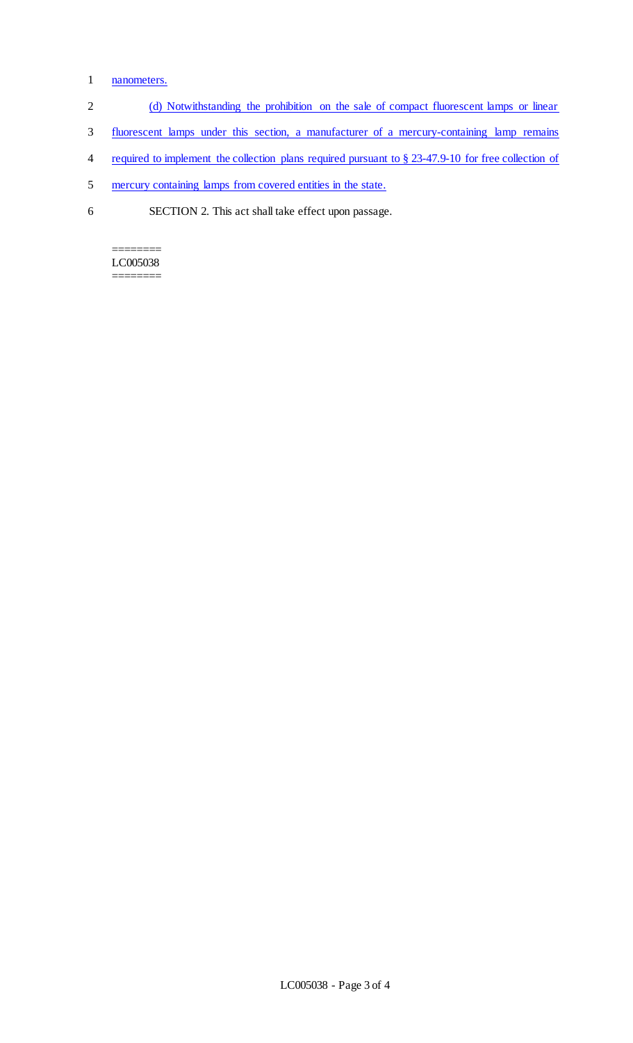## 1 nanometers.

- 2 (d) Notwithstanding the prohibition on the sale of compact fluorescent lamps or linear
- 3 fluorescent lamps under this section, a manufacturer of a mercury-containing lamp remains
- 4 required to implement the collection plans required pursuant to § 23-47.9-10 for free collection of
- 5 mercury containing lamps from covered entities in the state.
- 6 SECTION 2. This act shall take effect upon passage.

======== LC005038 ========